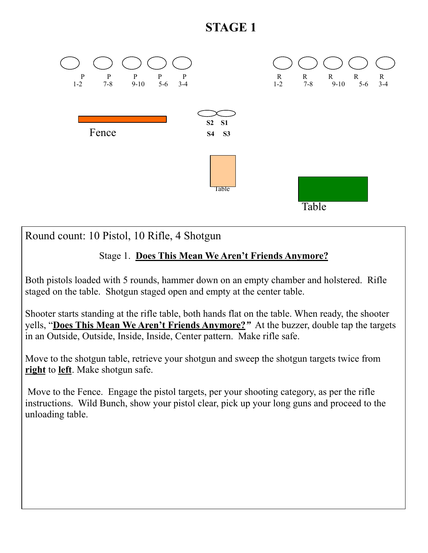## **STAGE 1**



Round count: 10 Pistol, 10 Rifle, 4 Shotgun

## Stage 1. **Does This Mean We Aren't Friends Anymore?**

Both pistols loaded with 5 rounds, hammer down on an empty chamber and holstered. Rifle staged on the table. Shotgun staged open and empty at the center table.

Shooter starts standing at the rifle table, both hands flat on the table. When ready, the shooter yells, "**Does This Mean We Aren't Friends Anymore?***"* At the buzzer, double tap the targets in an Outside, Outside, Inside, Inside, Center pattern. Make rifle safe.

Move to the shotgun table, retrieve your shotgun and sweep the shotgun targets twice from **right** to **left**. Make shotgun safe.

 Move to the Fence. Engage the pistol targets, per your shooting category, as per the rifle instructions. Wild Bunch, show your pistol clear, pick up your long guns and proceed to the unloading table.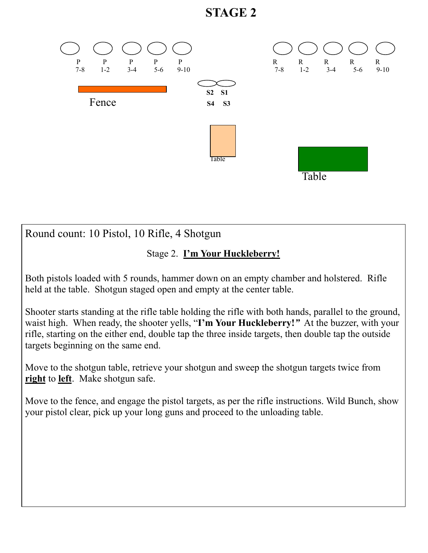## **STAGE 2**



Round count: 10 Pistol, 10 Rifle, 4 Shotgun

## Stage 2. **I'm Your Huckleberry!**

Both pistols loaded with 5 rounds, hammer down on an empty chamber and holstered. Rifle held at the table. Shotgun staged open and empty at the center table.

Shooter starts standing at the rifle table holding the rifle with both hands, parallel to the ground, waist high. When ready, the shooter yells, "**I'm Your Huckleberry!***"* At the buzzer, with your rifle, starting on the either end, double tap the three inside targets, then double tap the outside targets beginning on the same end.

Move to the shotgun table, retrieve your shotgun and sweep the shotgun targets twice from **right** to **left**. Make shotgun safe.

Move to the fence, and engage the pistol targets, as per the rifle instructions. Wild Bunch, show your pistol clear, pick up your long guns and proceed to the unloading table.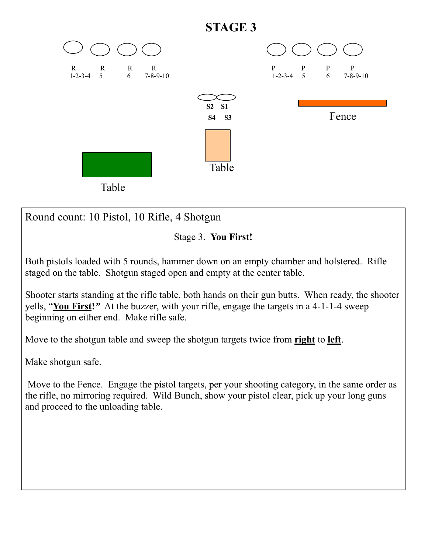

Round count: 10 Pistol, 10 Rifle, 4 Shotgun



Both pistols loaded with 5 rounds, hammer down on an empty chamber and holstered. Rifle staged on the table. Shotgun staged open and empty at the center table.

Shooter starts standing at the rifle table, both hands on their gun butts. When ready, the shooter yells, "**You First!***"* At the buzzer, with your rifle, engage the targets in a 4-1-1-4 sweep beginning on either end. Make rifle safe.

Move to the shotgun table and sweep the shotgun targets twice from **right** to **left**.

Make shotgun safe.

 Move to the Fence. Engage the pistol targets, per your shooting category, in the same order as the rifle, no mirroring required. Wild Bunch, show your pistol clear, pick up your long guns and proceed to the unloading table.